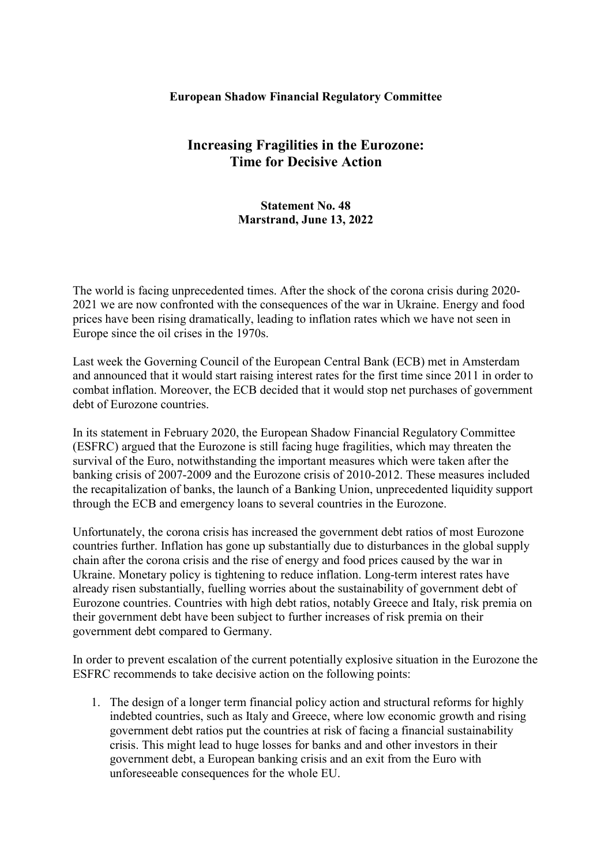## European Shadow Financial Regulatory Committee

## Increasing Fragilities in the Eurozone: Time for Decisive Action

## Statement No. 48 Marstrand, June 13, 2022

The world is facing unprecedented times. After the shock of the corona crisis during 2020- 2021 we are now confronted with the consequences of the war in Ukraine. Energy and food prices have been rising dramatically, leading to inflation rates which we have not seen in Europe since the oil crises in the 1970s.

Last week the Governing Council of the European Central Bank (ECB) met in Amsterdam and announced that it would start raising interest rates for the first time since 2011 in order to combat inflation. Moreover, the ECB decided that it would stop net purchases of government debt of Eurozone countries.

In its statement in February 2020, the European Shadow Financial Regulatory Committee (ESFRC) argued that the Eurozone is still facing huge fragilities, which may threaten the survival of the Euro, notwithstanding the important measures which were taken after the banking crisis of 2007-2009 and the Eurozone crisis of 2010-2012. These measures included the recapitalization of banks, the launch of a Banking Union, unprecedented liquidity support through the ECB and emergency loans to several countries in the Eurozone.

Unfortunately, the corona crisis has increased the government debt ratios of most Eurozone countries further. Inflation has gone up substantially due to disturbances in the global supply chain after the corona crisis and the rise of energy and food prices caused by the war in Ukraine. Monetary policy is tightening to reduce inflation. Long-term interest rates have already risen substantially, fuelling worries about the sustainability of government debt of Eurozone countries. Countries with high debt ratios, notably Greece and Italy, risk premia on their government debt have been subject to further increases of risk premia on their government debt compared to Germany.

In order to prevent escalation of the current potentially explosive situation in the Eurozone the ESFRC recommends to take decisive action on the following points:

1. The design of a longer term financial policy action and structural reforms for highly indebted countries, such as Italy and Greece, where low economic growth and rising government debt ratios put the countries at risk of facing a financial sustainability crisis. This might lead to huge losses for banks and and other investors in their government debt, a European banking crisis and an exit from the Euro with unforeseeable consequences for the whole EU.